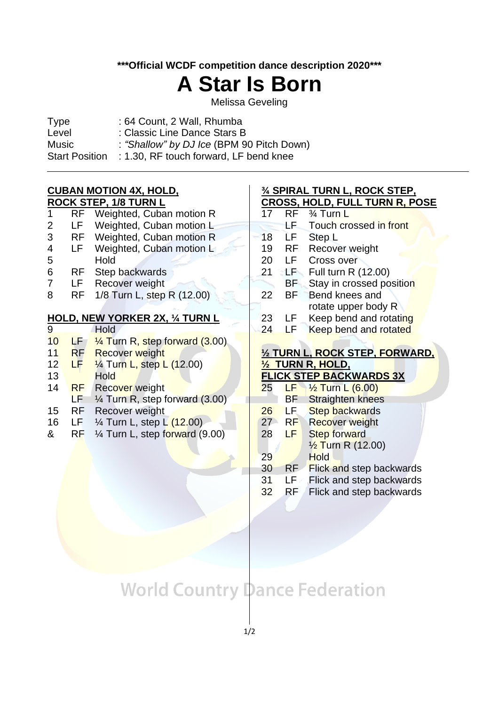**\*\*\*Official WCDF competition dance description 2020\*\*\***

## **A Star Is Born**

Melissa Geveling

| <b>Type</b>           | : 64 Count, 2 Wall, Rhumba                |
|-----------------------|-------------------------------------------|
| Level                 | : Classic Line Dance Stars B              |
| Music                 | : "Shallow" by DJ Ice (BPM 90 Pitch Down) |
| <b>Start Position</b> | : 1.30, RF touch forward, LF bend knee    |
|                       |                                           |

#### **CUBAN MOTION 4X, HOLD, ROCK STEP, 1/8 TURN L**

| 1               | <b>RF</b> | Weighted, Cuban motion R                  | 17 | <b>RF</b> | 3⁄4 Turn L                      |  |
|-----------------|-----------|-------------------------------------------|----|-----------|---------------------------------|--|
| 2               | LF        | Weighted, Cuban motion L                  |    | 55,       | Touch crossed in front          |  |
| 3               | <b>RF</b> | Weighted, Cuban motion R                  | 18 | ĹF.       | Step L                          |  |
| 4               | LF        | Weighted, Cuban motion L                  | 19 | <b>RF</b> | Recover weight                  |  |
| 5               |           | Hold                                      | 20 | LF.       | Cross over                      |  |
| 6               | <b>RF</b> | Step backwards                            | 21 | TE.       | Full turn R (12.00)             |  |
| 7               | LF        | Recover weight                            |    | BF        | Stay in crossed position        |  |
| 8               | <b>RF</b> | 1/8 Turn L, step R (12.00)                | 22 | <b>BF</b> | Bend knees and                  |  |
|                 |           |                                           |    |           | rotate upper body R             |  |
|                 |           | <u>HOLD, NEW YORKER 2X, ¼ TURN L</u>      | 23 | LF        | Keep bend and rotating          |  |
| 9               |           | Hold                                      | 24 | LF.       | Keep bend and rotated           |  |
| 10 <sup>°</sup> | F/        | $\frac{1}{4}$ Turn R, step forward (3.00) |    |           |                                 |  |
| 11              | <b>RF</b> | <b>Recover weight</b>                     |    |           | 1/2 TURN L, ROCK STEP, FORWARD, |  |
| 12              | LF.       | $\frac{1}{4}$ Turn L, step L (12.00)      |    |           | <u>½ TURN R, HOLD,</u>          |  |
| 13 <sup>°</sup> |           | <b>Hold</b>                               |    |           | <b>FLICK STEP BACKWARDS 3X</b>  |  |
| 14              | <b>RF</b> |                                           |    |           |                                 |  |
|                 |           | Recover weight                            | 25 | LF)       | $\frac{1}{2}$ Turn L (6.00)     |  |
|                 | LF        | $\frac{1}{4}$ Turn R, step forward (3.00) |    | <b>BF</b> | <b>Straighten knees</b>         |  |
| 15              | <b>RF</b> | Recover weight                            | 26 | LF        | <b>Step backwards</b>           |  |
| 16              | LF        | $\frac{1}{4}$ Turn L, step L (12.00)      | 27 | <b>RF</b> | <b>Recover weight</b>           |  |
| &               | RF        | $\frac{1}{4}$ Turn L, step forward (9.00) | 28 | LF.       | <b>Step forward</b>             |  |
|                 |           |                                           |    |           | $\frac{1}{2}$ Turn R (12.00)    |  |
|                 |           |                                           | 29 |           | <b>Hold</b>                     |  |

wards:

**¾ SPIRAL TURN L, ROCK STEP, CROSS, HOLD, FULL TURN R, POSE**

- 31 LF Flick and step backwards 32 RF Flick and step backwards
- 

### **World Country Dance Federation**